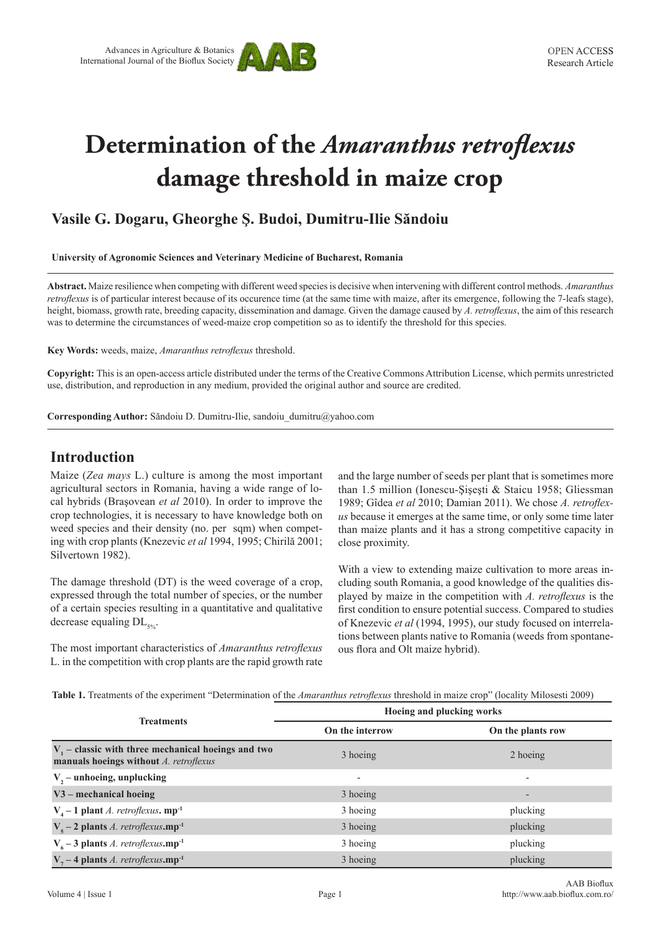

# **Determination of the** *Amaranthus retroflexus* **damage threshold in maize crop**

# **Vasile G. Dogaru, Gheorghe Ş. Budoi, Dumitru-Ilie Săndoiu**

**University of Agronomic Sciences and Veterinary Medicine of Bucharest, Romania**

**Abstract.** Maize resilience when competing with different weed species is decisive when intervening with different control methods. *Amaranthus retroflexus* is of particular interest because of its occurence time (at the same time with maize, after its emergence, following the 7-leafs stage), height, biomass, growth rate, breeding capacity, dissemination and damage. Given the damage caused by *A. retroflexus*, the aim of this research was to determine the circumstances of weed-maize crop competition so as to identify the threshold for this species.

**Key Words:** weeds, maize, *Amaranthus retroflexus* threshold.

**Copyright:** This is an open-access article distributed under the terms of the Creative Commons Attribution License, which permits unrestricted use, distribution, and reproduction in any medium, provided the original author and source are credited.

**Corresponding Author:** Săndoiu D. Dumitru-Ilie, sandoiu\_dumitru@yahoo.com

## **Introduction**

Maize (*Zea mays* L.) culture is among the most important agricultural sectors in Romania, having a wide range of local hybrids (Braşovean *et al* 2010). In order to improve the crop technologies, it is necessary to have knowledge both on weed species and their density (no. per sqm) when competing with crop plants (Knezevic *et al* 1994, 1995; Chirilă 2001; Silvertown 1982).

The damage threshold (DT) is the weed coverage of a crop, expressed through the total number of species, or the number of a certain species resulting in a quantitative and qualitative decrease equaling  $DL_{50}$ .

The most important characteristics of *Amaranthus retroflexus* L. in the competition with crop plants are the rapid growth rate and the large number of seeds per plant that is sometimes more than 1.5 million (Ionescu-Şişeşti & Staicu 1958; Gliessman 1989; Gîdea *et al* 2010; Damian 2011). We chose *A. retroflexus* because it emerges at the same time, or only some time later than maize plants and it has a strong competitive capacity in close proximity.

With a view to extending maize cultivation to more areas including south Romania, a good knowledge of the qualities displayed by maize in the competition with *A. retroflexus* is the first condition to ensure potential success. Compared to studies of Knezevic *et al* (1994, 1995), our study focused on interrelations between plants native to Romania (weeds from spontaneous flora and Olt maize hybrid).

**Table 1.** Treatments of the experiment "Determination of the *Amaranthus retroflexus* threshold in maize crop" (locality Milosesti 2009)

| <b>Treatments</b>                                                                              | Hoeing and plucking works |                          |  |  |  |  |
|------------------------------------------------------------------------------------------------|---------------------------|--------------------------|--|--|--|--|
|                                                                                                | On the interrow           | On the plants row        |  |  |  |  |
| $V1$ – classic with three mechanical hoeings and two<br>manuals hoeings without A. retroflexus | 3 hoeing                  | 2 hoeing                 |  |  |  |  |
| V <sub>2</sub> - unhoeing, unplucking                                                          |                           |                          |  |  |  |  |
| V3 - mechanical hoeing                                                                         | 3 hoeing                  | $\overline{\phantom{0}}$ |  |  |  |  |
| $V_{4}$ – 1 plant <i>A. retroflexus</i> . mp <sup>-1</sup>                                     | 3 hoeing                  | plucking                 |  |  |  |  |
| $V_s - 2$ plants <i>A. retroflexus.mp</i> <sup>-1</sup>                                        | 3 hoeing                  | plucking                 |  |  |  |  |
| $V6 - 3$ plants A. retroflexus.mp <sup>-1</sup>                                                | 3 hoeing                  | plucking                 |  |  |  |  |
| $V7 - 4$ plants A. retroflexus.mp <sup>-1</sup>                                                | 3 hoeing                  | plucking                 |  |  |  |  |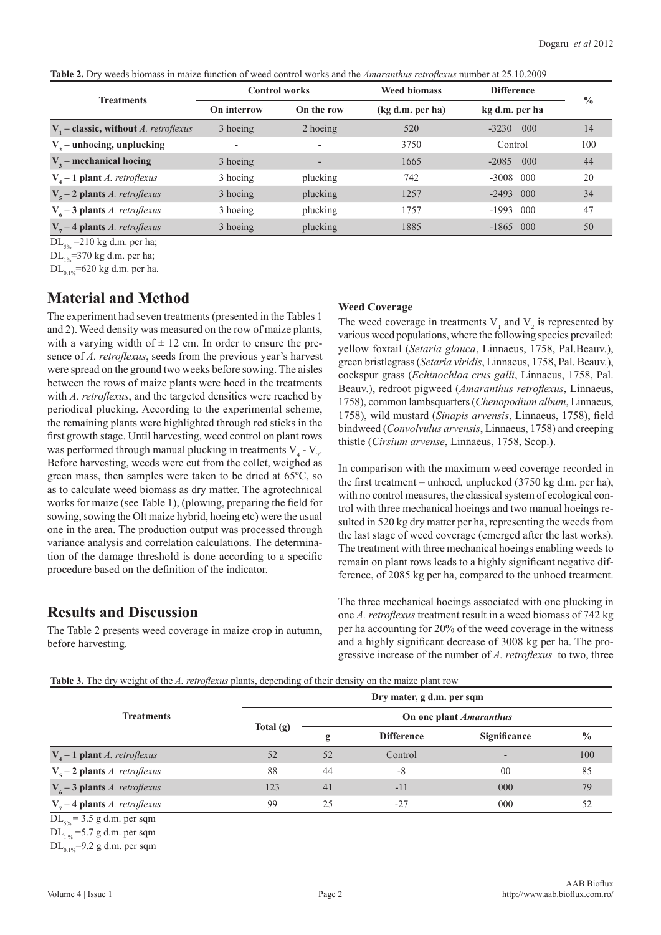|  |  |  |  | <b>Table 2.</b> Dry weeds biomass in maize function of weed control works and the <i>Amaranthus retroflexus</i> number at 25.10.2009 |
|--|--|--|--|--------------------------------------------------------------------------------------------------------------------------------------|
|  |  |  |  |                                                                                                                                      |

|                                          |             | <b>Control works</b> | <b>Weed biomass</b> | <b>Difference</b>        |               |
|------------------------------------------|-------------|----------------------|---------------------|--------------------------|---------------|
| <b>Treatments</b>                        | On interrow | On the row           | (kg d.m. per ha)    | kg d.m. per ha           | $\frac{0}{0}$ |
| $V1$ – classic, without A. retroflexus   | 3 hoeing    | 2 hoeing             | 520                 | 000<br>$-3230$           | 14            |
| $V, -$ unhoeing, unplucking              |             |                      | 3750                | Control                  | 100           |
| $V3$ – mechanical hoeing                 | 3 hoeing    |                      | 1665                | 000<br>$-2085$           | 44            |
| $V4 - 1$ plant A. retroflexus            | 3 hoeing    | plucking             | 742                 | $-3008$<br>$000 \,$      | 20            |
| $V_s - 2$ plants <i>A. retroflexus</i>   | 3 hoeing    | plucking             | 1257                | $-2493$<br>$000^{\circ}$ | 34            |
| $V_{6}$ – 3 plants <i>A. retroflexus</i> | 3 hoeing    | plucking             | 1757                | $000 \,$<br>$-1993$      | 47            |
| $V7 - 4$ plants A. retroflexus           | 3 hoeing    | plucking             | 1885                | $-1865$ 000              | 50            |

 $DL<sub>5%</sub>$  =210 kg d.m. per ha;

 $DL_{1\%}$ =370 kg d.m. per ha;

 $DL_{0.1\%}$ =620 kg d.m. per ha.

## **Material and Method**

The experiment had seven treatments (presented in the Tables 1 and 2). Weed density was measured on the row of maize plants, with a varying width of  $\pm$  12 cm. In order to ensure the presence of *A. retroflexus*, seeds from the previous year's harvest were spread on the ground two weeks before sowing. The aisles between the rows of maize plants were hoed in the treatments with *A. retroflexus*, and the targeted densities were reached by periodical plucking. According to the experimental scheme, the remaining plants were highlighted through red sticks in the first growth stage. Until harvesting, weed control on plant rows was performed through manual plucking in treatments  $V_4 - V_7$ . Before harvesting, weeds were cut from the collet, weighed as green mass, then samples were taken to be dried at 65ºC, so as to calculate weed biomass as dry matter. The agrotechnical works for maize (see Table 1), (plowing, preparing the field for sowing, sowing the Olt maize hybrid, hoeing etc) were the usual one in the area. The production output was processed through variance analysis and correlation calculations. The determination of the damage threshold is done according to a specific procedure based on the definition of the indicator.

### **Results and Discussion**

The Table 2 presents weed coverage in maize crop in autumn, before harvesting.

#### **Weed Coverage**

The weed coverage in treatments  $V_1$  and  $V_2$  is represented by various weed populations, where the following species prevailed: yellow foxtail (*Setaria glauca*, Linnaeus, 1758, Pal.Beauv.), green bristlegrass (*Setaria viridis*, Linnaeus, 1758, Pal. Beauv.), cockspur grass (*Echinochloa crus galli*, Linnaeus, 1758, Pal. Beauv.), redroot pigweed (*Amaranthus retroflexus*, Linnaeus, 1758), common lambsquarters (*Chenopodium album*, Linnaeus, 1758), wild mustard (*Sinapis arvensis*, Linnaeus, 1758), field bindweed (*Convolvulus arvensis*, Linnaeus, 1758) and creeping thistle (*Cirsium arvense*, Linnaeus, 1758, Scop.).

In comparison with the maximum weed coverage recorded in the first treatment – unhoed, unplucked (3750 kg d.m. per ha), with no control measures, the classical system of ecological control with three mechanical hoeings and two manual hoeings resulted in 520 kg dry matter per ha, representing the weeds from the last stage of weed coverage (emerged after the last works). The treatment with three mechanical hoeings enabling weeds to remain on plant rows leads to a highly significant negative difference, of 2085 kg per ha, compared to the unhoed treatment.

The three mechanical hoeings associated with one plucking in one *A. retroflexus* treatment result in a weed biomass of 742 kg per ha accounting for 20% of the weed coverage in the witness and a highly significant decrease of 3008 kg per ha. The progressive increase of the number of *A. retroflexus* to two, three

| Table 3. The dry weight of the A. retroflexus plants, depending of their density on the maize plant row |  |  |  |  |
|---------------------------------------------------------------------------------------------------------|--|--|--|--|
|---------------------------------------------------------------------------------------------------------|--|--|--|--|

|                                        | Dry mater, g d.m. per sqm |                         |                   |                |               |  |  |  |
|----------------------------------------|---------------------------|-------------------------|-------------------|----------------|---------------|--|--|--|
| <b>Treatments</b>                      |                           | On one plant Amaranthus |                   |                |               |  |  |  |
|                                        | Total $(g)$               | g                       | <b>Difference</b> | Significance   | $\frac{0}{0}$ |  |  |  |
| $V_4$ – 1 plant <i>A. retroflexus</i>  | 52                        | 52                      | Control           |                | 100           |  |  |  |
| $V_s - 2$ plants <i>A. retroflexus</i> | 88                        | 44                      | -8                | 0 <sup>0</sup> | 85            |  |  |  |
| $V6 - 3$ plants A. retroflexus         | 123                       | 41                      | $-11$             | 000            | 79            |  |  |  |
| $V7 - 4$ plants A. retroflexus         | 99                        | 25                      | $-27$             | 000            | 52            |  |  |  |

 $DL<sub>5%</sub> = 3.5$  g d.m. per sqm

 $DL_{1 \text{ s}}$  =5.7 g d.m. per sqm

 $DL_{0.1\%}$ =9.2 g d.m. per sqm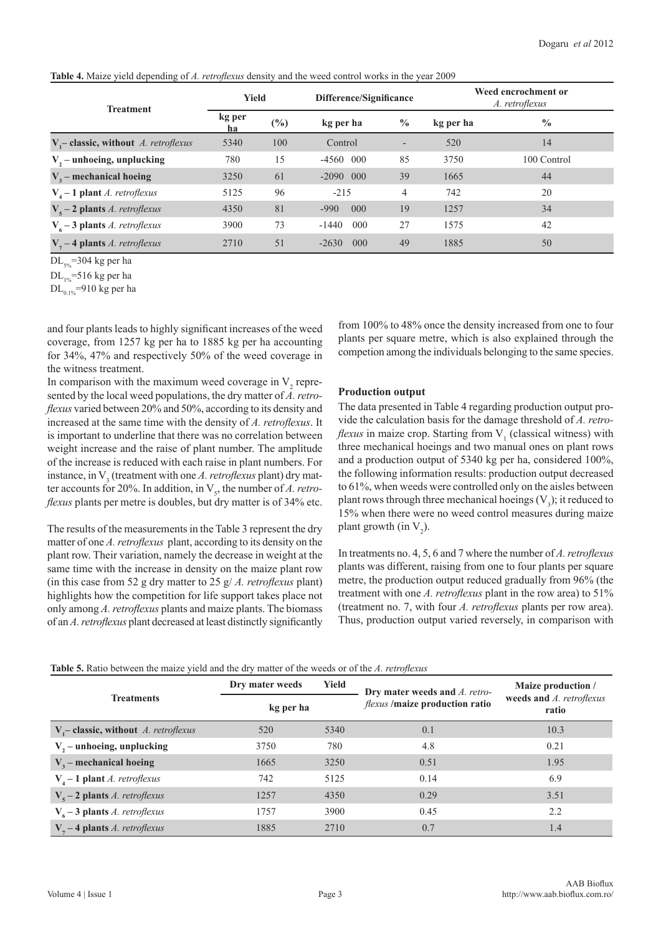**Table 4.** Maize yield depending of *A. retroflexus* density and the weed control works in the year 2009

| <b>Treatment</b>                         | Yield        |        | Difference/Significance |               | Weed encrochment or<br>A. retroflexus |               |
|------------------------------------------|--------------|--------|-------------------------|---------------|---------------------------------------|---------------|
|                                          | kg per<br>ha | $(\%)$ | kg per ha               | $\frac{0}{0}$ | kg per ha                             | $\frac{0}{0}$ |
| $V_i$ - classic, without A. retroflexus  | 5340         | 100    | Control                 |               | 520                                   | 14            |
| $V, -$ unhoeing, unplucking              | 780          | 15     | $-4560$<br>000          | 85            | 3750                                  | 100 Control   |
| $V3$ – mechanical hoeing                 | 3250         | 61     | $-2090$ 000             | 39            | 1665                                  | 44            |
| $V4 - 1$ plant A. retroflexus            | 5125         | 96     | $-215$                  | 4             | 742                                   | 20            |
| $V_s - 2$ plants <i>A. retroflexus</i>   | 4350         | 81     | $-990$<br>000           | 19            | 1257                                  | 34            |
| $V_{6}$ – 3 plants <i>A. retroflexus</i> | 3900         | 73     | $000 \,$<br>$-1440$     | 27            | 1575                                  | 42            |
| $V7 - 4$ plants A. retroflexus           | 2710         | 51     | $000 \,$<br>$-2630$     | 49            | 1885                                  | 50            |

 $DL<sub>506</sub> = 304$  kg per ha

 $DL_{10}$ =516 kg per ha

 $DL_{0.1\%}$ =910 kg per ha

and four plants leads to highly significant increases of the weed coverage, from 1257 kg per ha to 1885 kg per ha accounting for 34%, 47% and respectively 50% of the weed coverage in the witness treatment.

In comparison with the maximum weed coverage in  $V_2$  represented by the local weed populations, the dry matter of *A. retroflexus* varied between 20% and 50%, according to its density and increased at the same time with the density of *A. retroflexus*. It is important to underline that there was no correlation between weight increase and the raise of plant number. The amplitude of the increase is reduced with each raise in plant numbers. For instance, in  $V_3$  (treatment with one *A. retroflexus* plant) dry matter accounts for 20%. In addition, in  $V_s$ , the number of *A. retroflexus* plants per metre is doubles, but dry matter is of 34% etc.

The results of the measurements in the Table 3 represent the dry matter of one *A. retroflexus* plant, according to its density on the plant row. Their variation, namely the decrease in weight at the same time with the increase in density on the maize plant row (in this case from 52 g dry matter to 25 g/ *A. retroflexus* plant) highlights how the competition for life support takes place not only among *A. retroflexus* plants and maize plants. The biomass of an *A. retroflexus* plant decreased at least distinctly significantly

from 100% to 48% once the density increased from one to four plants per square metre, which is also explained through the competion among the individuals belonging to the same species.

#### **Production output**

The data presented in Table 4 regarding production output provide the calculation basis for the damage threshold of *A. retroflexus* in maize crop. Starting from  $V_1$  (classical witness) with three mechanical hoeings and two manual ones on plant rows and a production output of 5340 kg per ha, considered 100%, the following information results: production output decreased to 61%, when weeds were controlled only on the aisles between plant rows through three mechanical hoeings  $(V_3)$ ; it reduced to 15% when there were no weed control measures during maize plant growth (in  $V_2$ ).

In treatments no. 4, 5, 6 and 7 where the number of *A. retroflexus* plants was different, raising from one to four plants per square metre, the production output reduced gradually from 96% (the treatment with one *A. retroflexus* plant in the row area) to 51% (treatment no. 7, with four *A. retroflexus* plants per row area). Thus, production output varied reversely, in comparison with

|                                          | Yield<br>Dry mater weeds<br>kg per ha |      | Dry mater weeds and A. retro-                 | Maize production /<br>weeds and A. retroflexus<br>ratio |  |
|------------------------------------------|---------------------------------------|------|-----------------------------------------------|---------------------------------------------------------|--|
| <b>Treatments</b>                        |                                       |      | <i>flexus</i> / <b>maize</b> production ratio |                                                         |  |
| $V -$ classic, without A. retroflexus    | 520                                   | 5340 | 0.1                                           | 10.3                                                    |  |
| $V, -$ unhoeing, unplucking              | 3750                                  | 780  | 4.8                                           | 0.21                                                    |  |
| $V3$ – mechanical hoeing                 | 1665                                  | 3250 | 0.51                                          | 1.95                                                    |  |
| $V4 - 1$ plant A. retroflexus            | 742                                   | 5125 | 0.14                                          | 6.9                                                     |  |
| $V_s - 2$ plants <i>A. retroflexus</i>   | 1257                                  | 4350 | 0.29                                          | 3.51                                                    |  |
| $V_{6}$ – 3 plants <i>A. retroflexus</i> | 1757                                  | 3900 | 0.45                                          | 2.2                                                     |  |
| $Vn - 4$ plants A. retroflexus           | 1885                                  | 2710 | 0.7                                           | 1.4                                                     |  |

**Table 5.** Ratio between the maize yield and the dry matter of the weeds or of the *A. retroflexus*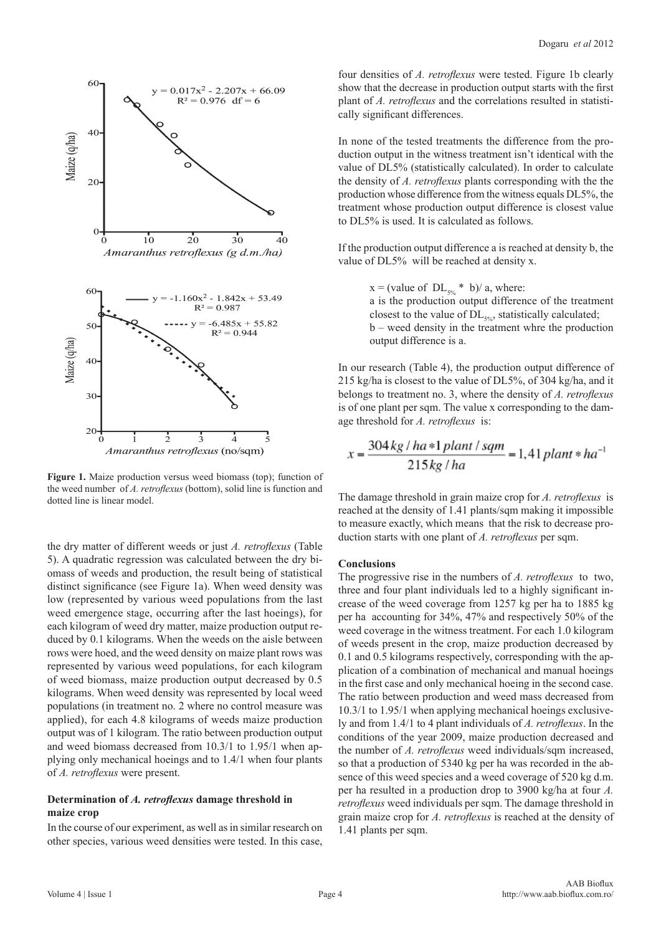

**Figure 1.** Maize production versus weed biomass (top); function of the weed number of *A. retroflexus* (bottom), solid line is function and dotted line is linear model.

the dry matter of different weeds or just *A. retroflexus* (Table 5). A quadratic regression was calculated between the dry biomass of weeds and production, the result being of statistical distinct significance (see Figure 1a). When weed density was low (represented by various weed populations from the last weed emergence stage, occurring after the last hoeings), for each kilogram of weed dry matter, maize production output reduced by 0.1 kilograms. When the weeds on the aisle between rows were hoed, and the weed density on maize plant rows was represented by various weed populations, for each kilogram of weed biomass, maize production output decreased by 0.5 kilograms. When weed density was represented by local weed populations (in treatment no. 2 where no control measure was applied), for each 4.8 kilograms of weeds maize production output was of 1 kilogram. The ratio between production output and weed biomass decreased from 10.3/1 to 1.95/1 when applying only mechanical hoeings and to 1.4/1 when four plants of *A. retroflexus* were present.

#### **Determination of** *A. retroflexus* **damage threshold in maize crop**

In the course of our experiment, as well as in similar research on other species, various weed densities were tested. In this case,

four densities of *A. retroflexus* were tested. Figure 1b clearly show that the decrease in production output starts with the first plant of *A. retroflexus* and the correlations resulted in statistically significant differences.

In none of the tested treatments the difference from the production output in the witness treatment isn't identical with the value of DL5% (statistically calculated). In order to calculate the density of *A. retroflexus* plants corresponding with the the production whose difference from the witness equals DL5%, the treatment whose production output difference is closest value to DL5% is used. It is calculated as follows.

If the production output difference a is reached at density b, the value of DL5% will be reached at density x.

 $x = (value of DL<sub>50%</sub> * b)/ a$ , where: a is the production output difference of the treatment closest to the value of  $DL<sub>502</sub>$ , statistically calculated; b – weed density in the treatment whre the production output difference is a.

In our research (Table 4), the production output difference of 215 kg/ha is closest to the value of DL5%, of 304 kg/ha, and it belongs to treatment no. 3, where the density of *A. retroflexus* is of one plant per sqm. The value x corresponding to the damage threshold for *A. retroflexus* is:

$$
x = \frac{304 \, kg / \, ha * 1 \, plant / \, sqm}{215 \, kg / \, ha} = 1,41 \, plant * \, ha^{-1}
$$

The damage threshold in grain maize crop for *A. retroflexus* is reached at the density of 1.41 plants/sqm making it impossible to measure exactly, which means that the risk to decrease production starts with one plant of *A. retroflexus* per sqm.

#### **Conclusions**

l,

The progressive rise in the numbers of *A. retroflexus* to two, three and four plant individuals led to a highly significant increase of the weed coverage from 1257 kg per ha to 1885 kg per ha accounting for 34%, 47% and respectively 50% of the weed coverage in the witness treatment. For each 1.0 kilogram of weeds present in the crop, maize production decreased by 0.1 and 0.5 kilograms respectively, corresponding with the application of a combination of mechanical and manual hoeings in the first case and only mechanical hoeing in the second case. The ratio between production and weed mass decreased from 10.3/1 to 1.95/1 when applying mechanical hoeings exclusively and from 1.4/1 to 4 plant individuals of *A. retroflexus*. In the conditions of the year 2009, maize production decreased and the number of *A. retroflexus* weed individuals/sqm increased, so that a production of 5340 kg per ha was recorded in the absence of this weed species and a weed coverage of 520 kg d.m. per ha resulted in a production drop to 3900 kg/ha at four *A. retroflexus* weed individuals per sqm. The damage threshold in grain maize crop for *A. retroflexus* is reached at the density of 1.41 plants per sqm.